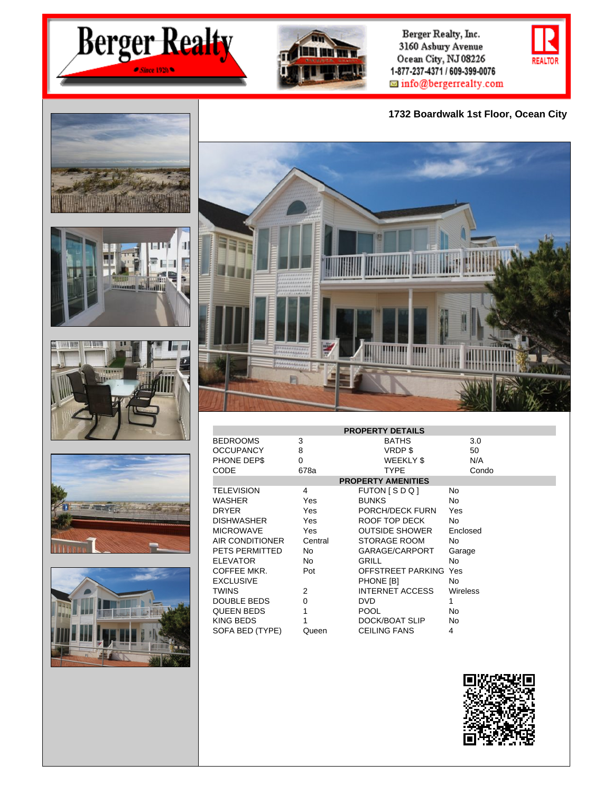



Berger Realty, Inc. 3160 Asbury Avenue Ocean City, NJ 08226 1-877-237-4371 / 609-399-0076  $\blacksquare$  info@bergerrealty.com

**1732 Boardwalk 1st Floor, Ocean City**













| <b>PROPERTY DETAILS</b>   |          |                     |          |  |  |
|---------------------------|----------|---------------------|----------|--|--|
| <b>BEDROOMS</b>           | 3        | <b>BATHS</b>        | 3.0      |  |  |
| <b>OCCUPANCY</b>          | 8        | VRDP\$              | 50       |  |  |
| PHONE DEP\$               | $\Omega$ | WEEKLY \$           | N/A      |  |  |
| CODE                      | 678a     | <b>TYPE</b>         | Condo    |  |  |
| <b>PROPERTY AMENITIES</b> |          |                     |          |  |  |
| <b>TELEVISION</b>         | 4        | FUTON [SDQ]         | No       |  |  |
| WASHER                    | Yes      | <b>BUNKS</b>        | No.      |  |  |
| <b>DRYER</b>              | Yes      | PORCH/DECK FURN     | Yes      |  |  |
| <b>DISHWASHER</b>         | Yes      | ROOF TOP DECK       | No       |  |  |
| <b>MICROWAVE</b>          | Yes      | OUTSIDE SHOWER      | Enclosed |  |  |
| AIR CONDITIONER           | Central  | STORAGE ROOM        | No.      |  |  |
| PETS PERMITTED            | No       | GARAGE/CARPORT      | Garage   |  |  |
| <b>ELEVATOR</b>           | No       | GRILL               | No       |  |  |
| COFFEE MKR.               | Pot      | OFFSTREET PARKING   | Yes      |  |  |
| <b>EXCLUSIVE</b>          |          | PHONE [B]           | No       |  |  |
| <b>TWINS</b>              | 2        | INTERNET ACCESS     | Wireless |  |  |
| DOUBLE BEDS               | 0        | DVD.                | 1        |  |  |
| QUEEN BEDS                | 1        | <b>POOL</b>         | No       |  |  |
| KING BEDS                 |          | DOCK/BOAT SLIP      | No       |  |  |
| SOFA BED (TYPE)           | Queen    | <b>CEILING FANS</b> | 4        |  |  |